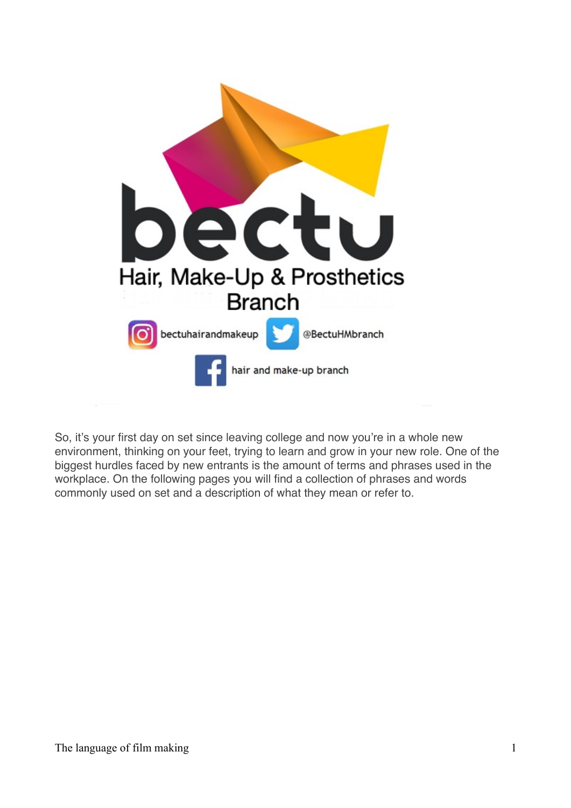

So, it's your first day on set since leaving college and now you're in a whole new environment, thinking on your feet, trying to learn and grow in your new role. One of the biggest hurdles faced by new entrants is the amount of terms and phrases used in the workplace. On the following pages you will find a collection of phrases and words commonly used on set and a description of what they mean or refer to.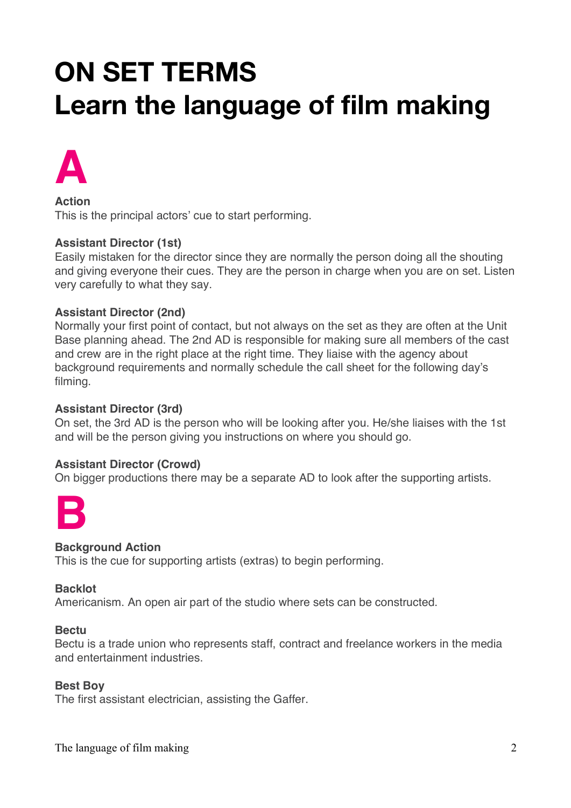# **ON SET TERMS Learn the language of film making**



**Action** This is the principal actors' cue to start performing.

## **Assistant Director (1st)**

Easily mistaken for the director since they are normally the person doing all the shouting and giving everyone their cues. They are the person in charge when you are on set. Listen very carefully to what they say.

## **Assistant Director (2nd)**

Normally your first point of contact, but not always on the set as they are often at the Unit Base planning ahead. The 2nd AD is responsible for making sure all members of the cast and crew are in the right place at the right time. They liaise with the agency about background requirements and normally schedule the call sheet for the following day's filming.

#### **Assistant Director (3rd)**

On set, the 3rd AD is the person who will be looking after you. He/she liaises with the 1st and will be the person giving you instructions on where you should go.

#### **Assistant Director (Crowd)**

On bigger productions there may be a separate AD to look after the supporting artists.



## **Background Action**

This is the cue for supporting artists (extras) to begin performing.

#### **Backlot**

Americanism. An open air part of the studio where sets can be constructed.

#### **Bectu**

Bectu is a trade union who represents staff, contract and freelance workers in the media and entertainment industries.

#### **Best Boy**

The first assistant electrician, assisting the Gaffer.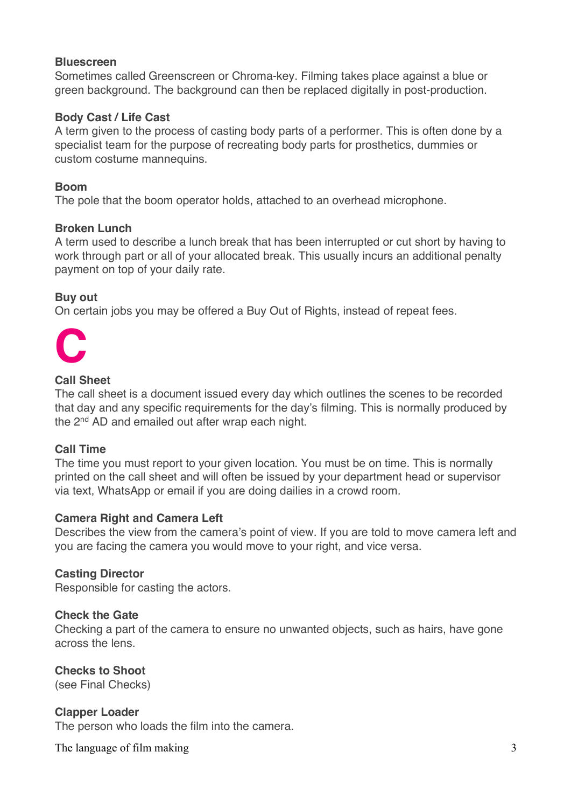## **Bluescreen**

Sometimes called Greenscreen or Chroma-key. Filming takes place against a blue or green background. The background can then be replaced digitally in post-production.

## **Body Cast / Life Cast**

A term given to the process of casting body parts of a performer. This is often done by a specialist team for the purpose of recreating body parts for prosthetics, dummies or custom costume mannequins.

## **Boom**

The pole that the boom operator holds, attached to an overhead microphone.

# **Broken Lunch**

A term used to describe a lunch break that has been interrupted or cut short by having to work through part or all of your allocated break. This usually incurs an additional penalty payment on top of your daily rate.

# **Buy out**

On certain jobs you may be offered a Buy Out of Rights, instead of repeat fees.



## **Call Sheet**

The call sheet is a document issued every day which outlines the scenes to be recorded that day and any specific requirements for the day's filming. This is normally produced by the 2nd AD and emailed out after wrap each night.

## **Call Time**

The time you must report to your given location. You must be on time. This is normally printed on the call sheet and will often be issued by your department head or supervisor via text, WhatsApp or email if you are doing dailies in a crowd room.

## **Camera Right and Camera Left**

Describes the view from the camera's point of view. If you are told to move camera left and you are facing the camera you would move to your right, and vice versa.

## **Casting Director**

Responsible for casting the actors.

## **Check the Gate**

Checking a part of the camera to ensure no unwanted objects, such as hairs, have gone across the lens.

# **Checks to Shoot**

(see Final Checks)

## **Clapper Loader**

The person who loads the film into the camera.

The language of film making 3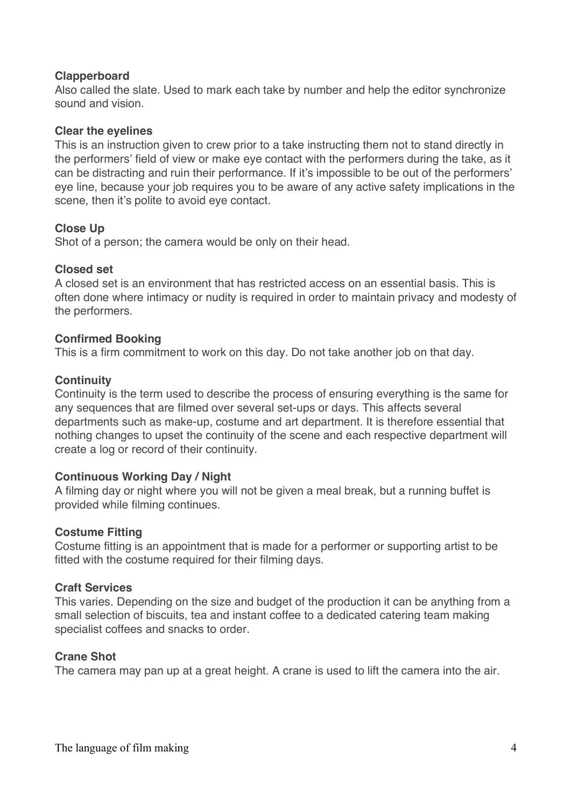## **Clapperboard**

Also called the slate. Used to mark each take by number and help the editor synchronize sound and vision.

#### **Clear the eyelines**

This is an instruction given to crew prior to a take instructing them not to stand directly in the performers' field of view or make eye contact with the performers during the take, as it can be distracting and ruin their performance. If it's impossible to be out of the performers' eye line, because your job requires you to be aware of any active safety implications in the scene, then it's polite to avoid eye contact.

## **Close Up**

Shot of a person; the camera would be only on their head.

#### **Closed set**

A closed set is an environment that has restricted access on an essential basis. This is often done where intimacy or nudity is required in order to maintain privacy and modesty of the performers.

## **Confirmed Booking**

This is a firm commitment to work on this day. Do not take another job on that day.

#### **Continuity**

Continuity is the term used to describe the process of ensuring everything is the same for any sequences that are filmed over several set-ups or days. This affects several departments such as make-up, costume and art department. It is therefore essential that nothing changes to upset the continuity of the scene and each respective department will create a log or record of their continuity.

#### **Continuous Working Day / Night**

A filming day or night where you will not be given a meal break, but a running buffet is provided while filming continues.

#### **Costume Fitting**

Costume fitting is an appointment that is made for a performer or supporting artist to be fitted with the costume required for their filming days.

#### **Craft Services**

This varies. Depending on the size and budget of the production it can be anything from a small selection of biscuits, tea and instant coffee to a dedicated catering team making specialist coffees and snacks to order.

## **Crane Shot**

The camera may pan up at a great height. A crane is used to lift the camera into the air.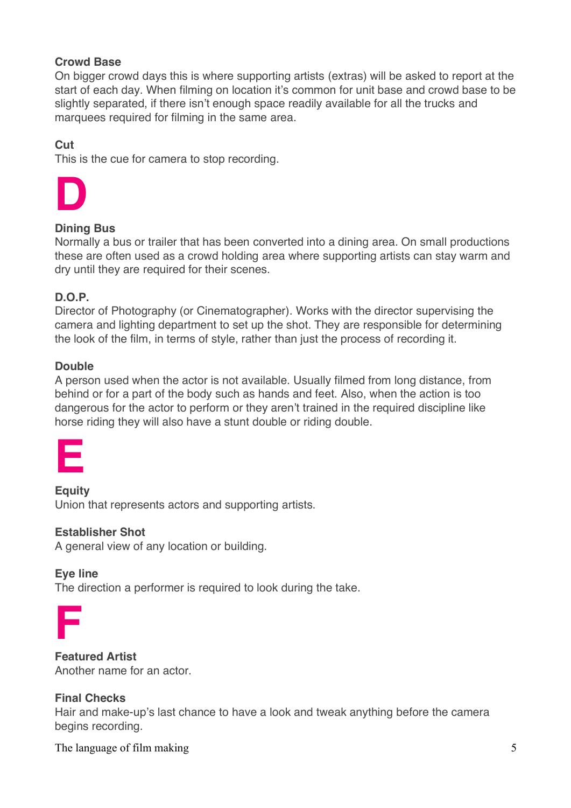## **Crowd Base**

On bigger crowd days this is where supporting artists (extras) will be asked to report at the start of each day. When filming on location it's common for unit base and crowd base to be slightly separated, if there isn't enough space readily available for all the trucks and marquees required for filming in the same area.

# **Cut**

This is the cue for camera to stop recording.



# **Dining Bus**

Normally a bus or trailer that has been converted into a dining area. On small productions these are often used as a crowd holding area where supporting artists can stay warm and dry until they are required for their scenes.

# **D.O.P.**

Director of Photography (or Cinematographer). Works with the director supervising the camera and lighting department to set up the shot. They are responsible for determining the look of the film, in terms of style, rather than just the process of recording it.

## **Double**

A person used when the actor is not available. Usually filmed from long distance, from behind or for a part of the body such as hands and feet. Also, when the action is too dangerous for the actor to perform or they aren't trained in the required discipline like horse riding they will also have a stunt double or riding double.

| the control of the control of the |  |
|-----------------------------------|--|
|                                   |  |

**Equity** Union that represents actors and supporting artists.

## **Establisher Shot**

A general view of any location or building.

## **Eye line**

The direction a performer is required to look during the take.

**Featured Artist** Another name for an actor.

## **Final Checks**

Hair and make-up's last chance to have a look and tweak anything before the camera begins recording.

The language of film making 5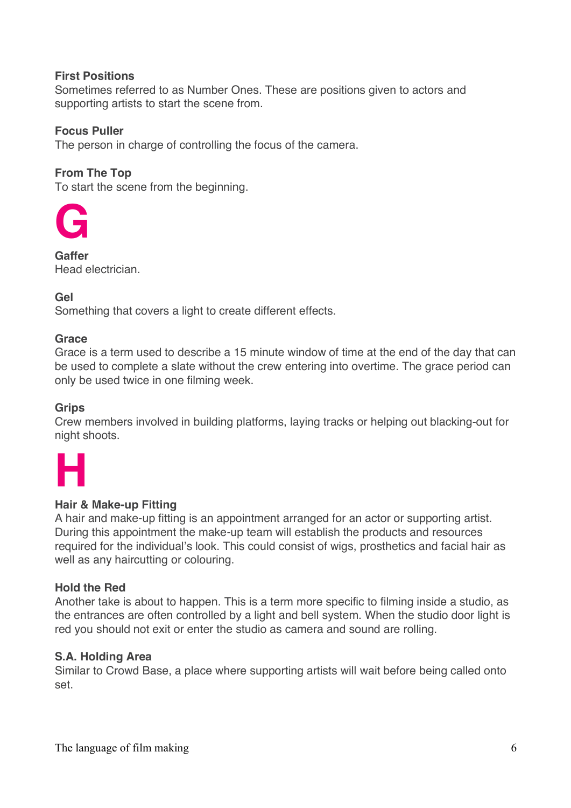## **First Positions**

Sometimes referred to as Number Ones. These are positions given to actors and supporting artists to start the scene from.

## **Focus Puller**

The person in charge of controlling the focus of the camera.

## **From The Top**

To start the scene from the beginning.



**Gaffer** Head electrician.

## **Gel**

Something that covers a light to create different effects.

#### **Grace**

Grace is a term used to describe a 15 minute window of time at the end of the day that can be used to complete a slate without the crew entering into overtime. The grace period can only be used twice in one filming week.

## **Grips**

Crew members involved in building platforms, laying tracks or helping out blacking-out for night shoots.



## **Hair & Make-up Fitting**

A hair and make-up fitting is an appointment arranged for an actor or supporting artist. During this appointment the make-up team will establish the products and resources required for the individual's look. This could consist of wigs, prosthetics and facial hair as well as any haircutting or colouring.

## **Hold the Red**

Another take is about to happen. This is a term more specific to filming inside a studio, as the entrances are often controlled by a light and bell system. When the studio door light is red you should not exit or enter the studio as camera and sound are rolling.

## **S.A. Holding Area**

Similar to Crowd Base, a place where supporting artists will wait before being called onto set.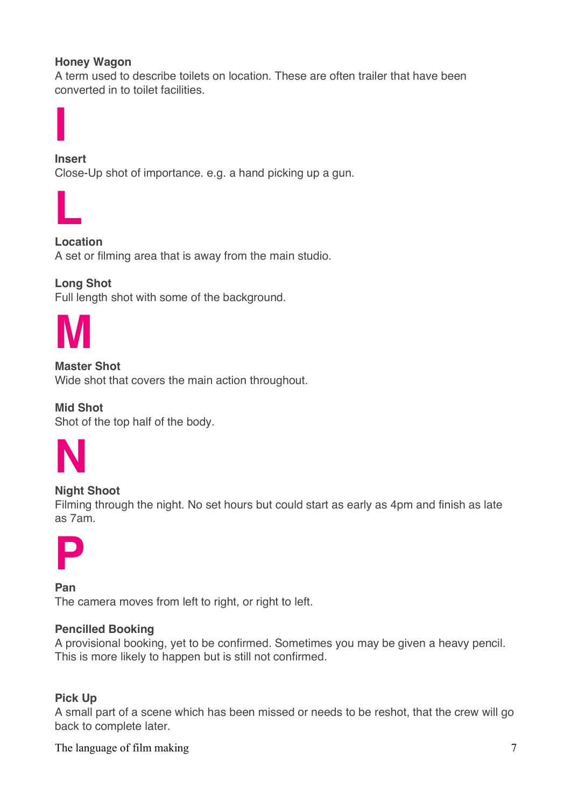# **Honey Wagon**

A term used to describe toilets on location. These are often trailer that have been converted in to toilet facilities.



**Insert** Close-Up shot of importance. e.g. a hand picking up a gun.



**Location** A set or filming area that is away from the main studio.

**Long Shot**

Full length shot with some of the background.



**Master Shot**

Wide shot that covers the main action throughout.

**Mid Shot** Shot of the top half of the body.



## **Night Shoot**

Filming through the night. No set hours but could start as early as 4pm and finish as late as 7am.



**Pan** The camera moves from left to right, or right to left.

## **Pencilled Booking**

A provisional booking, yet to be confirmed. Sometimes you may be given a heavy pencil. This is more likely to happen but is still not confirmed.

## **Pick Up**

A small part of a scene which has been missed or needs to be reshot, that the crew will go back to complete later.

The language of film making 7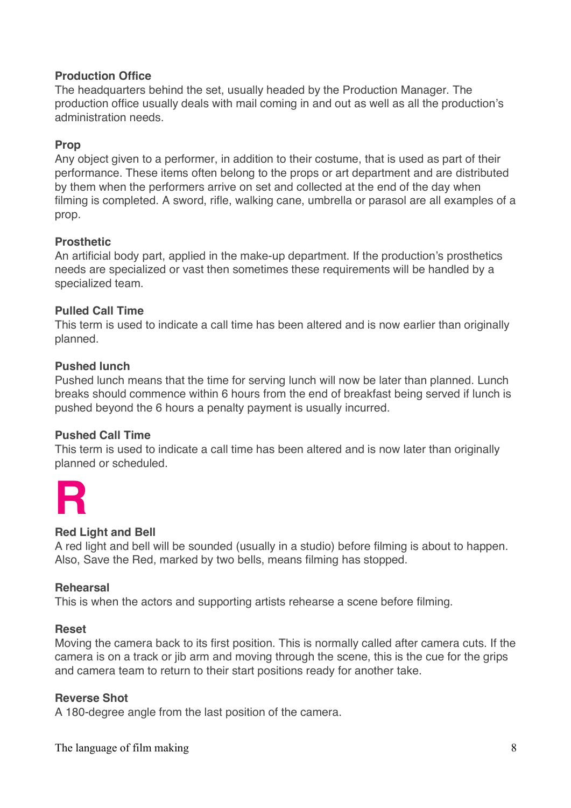## **Production Office**

The headquarters behind the set, usually headed by the Production Manager. The production office usually deals with mail coming in and out as well as all the production's administration needs.

## **Prop**

Any object given to a performer, in addition to their costume, that is used as part of their performance. These items often belong to the props or art department and are distributed by them when the performers arrive on set and collected at the end of the day when filming is completed. A sword, rifle, walking cane, umbrella or parasol are all examples of a prop.

## **Prosthetic**

An artificial body part, applied in the make-up department. If the production's prosthetics needs are specialized or vast then sometimes these requirements will be handled by a specialized team.

## **Pulled Call Time**

This term is used to indicate a call time has been altered and is now earlier than originally planned.

#### **Pushed lunch**

Pushed lunch means that the time for serving lunch will now be later than planned. Lunch breaks should commence within 6 hours from the end of breakfast being served if lunch is pushed beyond the 6 hours a penalty payment is usually incurred.

#### **Pushed Call Time**

This term is used to indicate a call time has been altered and is now later than originally planned or scheduled.



## **Red Light and Bell**

A red light and bell will be sounded (usually in a studio) before filming is about to happen. Also, Save the Red, marked by two bells, means filming has stopped.

#### **Rehearsal**

This is when the actors and supporting artists rehearse a scene before filming.

#### **Reset**

Moving the camera back to its first position. This is normally called after camera cuts. If the camera is on a track or jib arm and moving through the scene, this is the cue for the grips and camera team to return to their start positions ready for another take.

#### **Reverse Shot**

A 180-degree angle from the last position of the camera.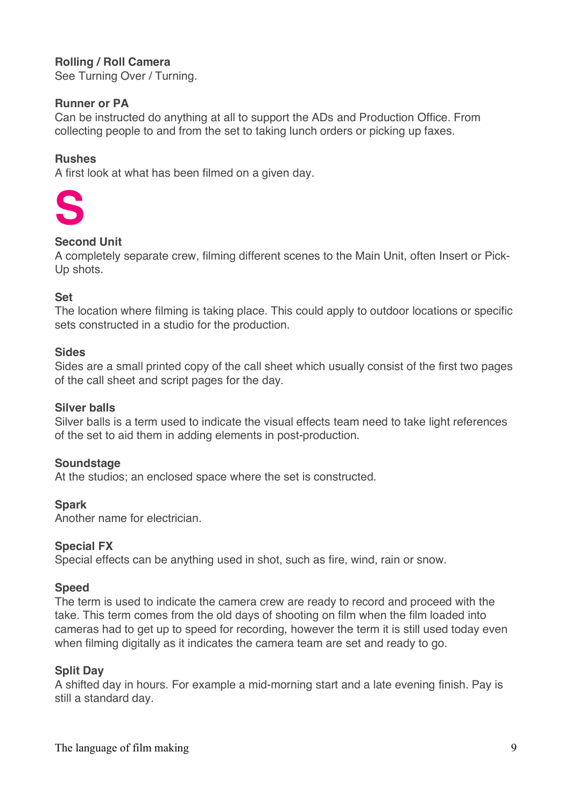# **Rolling / Roll Camera**

See Turning Over / Turning.

#### **Runner or PA**

Can be instructed do anything at all to support the ADs and Production Office. From collecting people to and from the set to taking lunch orders or picking up faxes.

#### **Rushes**

A first look at what has been filmed on a given day.



## **Second Unit**

A completely separate crew, filming different scenes to the Main Unit, often Insert or Pick-Up shots.

#### **Set**

The location where filming is taking place. This could apply to outdoor locations or specific sets constructed in a studio for the production.

#### **Sides**

Sides are a small printed copy of the call sheet which usually consist of the first two pages of the call sheet and script pages for the day.

#### **Silver balls**

Silver balls is a term used to indicate the visual effects team need to take light references of the set to aid them in adding elements in post-production.

#### **Soundstage**

At the studios; an enclosed space where the set is constructed.

#### **Spark**

Another name for electrician.

#### **Special FX**

Special effects can be anything used in shot, such as fire, wind, rain or snow.

#### **Speed**

The term is used to indicate the camera crew are ready to record and proceed with the take. This term comes from the old days of shooting on film when the film loaded into cameras had to get up to speed for recording, however the term it is still used today even when filming digitally as it indicates the camera team are set and ready to go.

#### **Split Day**

A shifted day in hours. For example a mid-morning start and a late evening finish. Pay is still a standard day.